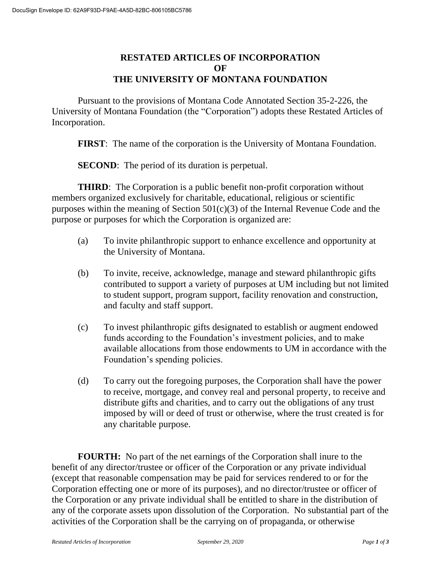## **RESTATED ARTICLES OF INCORPORATION OF THE UNIVERSITY OF MONTANA FOUNDATION**

Pursuant to the provisions of Montana Code Annotated Section 35-2-226, the University of Montana Foundation (the "Corporation") adopts these Restated Articles of Incorporation.

**FIRST**: The name of the corporation is the University of Montana Foundation.

**SECOND:** The period of its duration is perpetual.

**THIRD:** The Corporation is a public benefit non-profit corporation without members organized exclusively for charitable, educational, religious or scientific purposes within the meaning of Section 501(c)(3) of the Internal Revenue Code and the purpose or purposes for which the Corporation is organized are:

- (a) To invite philanthropic support to enhance excellence and opportunity at the University of Montana.
- (b) To invite, receive, acknowledge, manage and steward philanthropic gifts contributed to support a variety of purposes at UM including but not limited to student support, program support, facility renovation and construction, and faculty and staff support.
- (c) To invest philanthropic gifts designated to establish or augment endowed funds according to the Foundation's investment policies, and to make available allocations from those endowments to UM in accordance with the Foundation's spending policies.
- (d) To carry out the foregoing purposes, the Corporation shall have the power to receive, mortgage, and convey real and personal property, to receive and distribute gifts and charities, and to carry out the obligations of any trust imposed by will or deed of trust or otherwise, where the trust created is for any charitable purpose.

**FOURTH:** No part of the net earnings of the Corporation shall inure to the benefit of any director/trustee or officer of the Corporation or any private individual (except that reasonable compensation may be paid for services rendered to or for the Corporation effecting one or more of its purposes), and no director/trustee or officer of the Corporation or any private individual shall be entitled to share in the distribution of any of the corporate assets upon dissolution of the Corporation. No substantial part of the activities of the Corporation shall be the carrying on of propaganda, or otherwise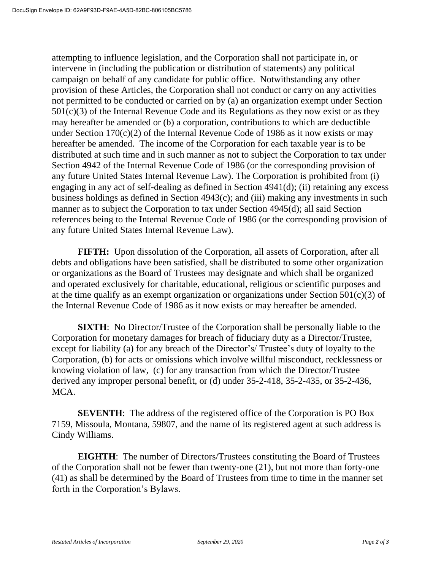attempting to influence legislation, and the Corporation shall not participate in, or intervene in (including the publication or distribution of statements) any political campaign on behalf of any candidate for public office. Notwithstanding any other provision of these Articles, the Corporation shall not conduct or carry on any activities not permitted to be conducted or carried on by (a) an organization exempt under Section  $501(c)(3)$  of the Internal Revenue Code and its Regulations as they now exist or as they may hereafter be amended or (b) a corporation, contributions to which are deductible under Section  $170(c)(2)$  of the Internal Revenue Code of 1986 as it now exists or may hereafter be amended. The income of the Corporation for each taxable year is to be distributed at such time and in such manner as not to subject the Corporation to tax under Section 4942 of the Internal Revenue Code of 1986 (or the corresponding provision of any future United States Internal Revenue Law). The Corporation is prohibited from (i) engaging in any act of self-dealing as defined in Section 4941(d); (ii) retaining any excess business holdings as defined in Section 4943(c); and (iii) making any investments in such manner as to subject the Corporation to tax under Section 4945(d); all said Section references being to the Internal Revenue Code of 1986 (or the corresponding provision of any future United States Internal Revenue Law).

**FIFTH:** Upon dissolution of the Corporation, all assets of Corporation, after all debts and obligations have been satisfied, shall be distributed to some other organization or organizations as the Board of Trustees may designate and which shall be organized and operated exclusively for charitable, educational, religious or scientific purposes and at the time qualify as an exempt organization or organizations under Section  $501(c)(3)$  of the Internal Revenue Code of 1986 as it now exists or may hereafter be amended.

**SIXTH**: No Director/Trustee of the Corporation shall be personally liable to the Corporation for monetary damages for breach of fiduciary duty as a Director/Trustee, except for liability (a) for any breach of the Director's/ Trustee's duty of loyalty to the Corporation, (b) for acts or omissions which involve willful misconduct, recklessness or knowing violation of law, (c) for any transaction from which the Director/Trustee derived any improper personal benefit, or (d) under 35-2-418, 35-2-435, or 35-2-436, MCA.

**SEVENTH:** The address of the registered office of the Corporation is PO Box 7159, Missoula, Montana, 59807, and the name of its registered agent at such address is Cindy Williams.

**EIGHTH**: The number of Directors/Trustees constituting the Board of Trustees of the Corporation shall not be fewer than twenty-one (21), but not more than forty-one (41) as shall be determined by the Board of Trustees from time to time in the manner set forth in the Corporation's Bylaws.